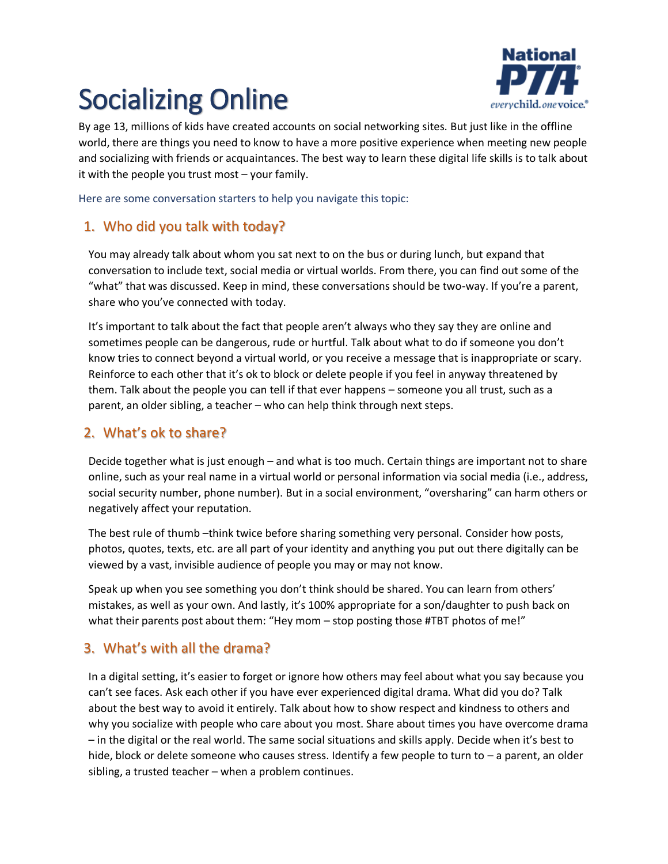# Socializing Online



By age 13, millions of kids have created accounts on social networking sites. But just like in the offline world, there are things you need to know to have a more positive experience when meeting new people and socializing with friends or acquaintances. The best way to learn these digital life skills is to talk about it with the people you trust most – your family.

Here are some conversation starters to help you navigate this topic:

## 1. Who did you talk with today?

You may already talk about whom you sat next to on the bus or during lunch, but expand that conversation to include text, social media or virtual worlds. From there, you can find out some of the "what" that was discussed. Keep in mind, these conversations should be two-way. If you're a parent, share who you've connected with today.

It's important to talk about the fact that people aren't always who they say they are online and sometimes people can be dangerous, rude or hurtful. Talk about what to do if someone you don't know tries to connect beyond a virtual world, or you receive a message that is inappropriate or scary. Reinforce to each other that it's ok to block or delete people if you feel in anyway threatened by them. Talk about the people you can tell if that ever happens – someone you all trust, such as a parent, an older sibling, a teacher – who can help think through next steps.

## 2. What's ok to share?

Decide together what is just enough – and what is too much. Certain things are important not to share online, such as your real name in a virtual world or personal information via social media (i.e., address, social security number, phone number). But in a social environment, "oversharing" can harm others or negatively affect your reputation.

The best rule of thumb -think twice before sharing something very personal. Consider how posts, photos, quotes, texts, etc. are all part of your identity and anything you put out there digitally can be viewed by a vast, invisible audience of people you may or may not know.

Speak up when you see something you don't think should be shared. You can learn from others' mistakes, as well as your own. And lastly, it's 100% appropriate for a son/daughter to push back on what their parents post about them: "Hey mom – stop posting those #TBT photos of me!"

## 3. What's with all the drama?

In a digital setting, it's easier to forget or ignore how others may feel about what you say because you can't see faces. Ask each other if you have ever experienced digital drama. What did you do? Talk about the best way to avoid it entirely. Talk about how to show respect and kindness to others and why you socialize with people who care about you most. Share about times you have overcome drama – in the digital or the real world. The same social situations and skills apply. Decide when it's best to hide, block or delete someone who causes stress. Identify a few people to turn to - a parent, an older sibling, a trusted teacher – when a problem continues.